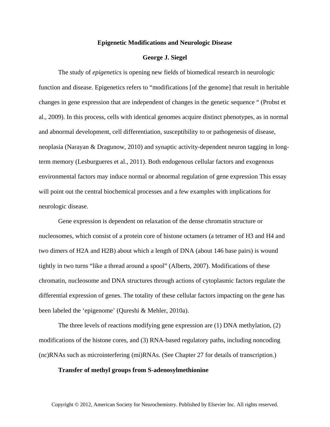### **Epigenetic Modifications and Neurologic Disease**

# **George J. Siegel**

The study of *epigenetics* is opening new fields of biomedical research in neurologic function and disease. Epigenetics refers to "modifications [of the genome] that result in heritable changes in gene expression that are independent of changes in the genetic sequence " (Probst et al., 2009). In this process, cells with identical genomes acquire distinct phenotypes, as in normal and abnormal development, cell differentiation, susceptibility to or pathogenesis of disease, neoplasia (Narayan & Dragunow, 2010) and synaptic activity-dependent neuron tagging in longterm memory (Lesburgueres et al., 2011). Both endogenous cellular factors and exogenous environmental factors may induce normal or abnormal regulation of gene expression This essay will point out the central biochemical processes and a few examples with implications for neurologic disease.

Gene expression is dependent on relaxation of the dense chromatin structure or nucleosomes, which consist of a protein core of histone octamers (a tetramer of H3 and H4 and two dimers of H2A and H2B) about which a length of DNA (about 146 base pairs) is wound tightly in two turns "like a thread around a spool" (Alberts, 2007). Modifications of these chromatin, nucleosome and DNA structures through actions of cytoplasmic factors regulate the differential expression of genes. The totality of these cellular factors impacting on the gene has been labeled the 'epigenome' (Qureshi & Mehler, 2010a).

The three levels of reactions modifying gene expression are (1) DNA methylation, (2) modifications of the histone cores, and (3) RNA-based regulatory paths, including noncoding (nc)RNAs such as microinterfering (mi)RNAs. (See Chapter 27 for details of transcription.)

#### **Transfer of methyl groups from S-adenosylmethionine**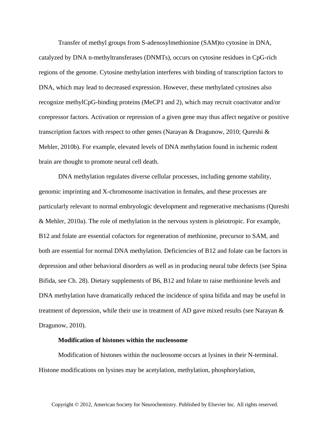Transfer of methyl groups from S-adenosylmethionine (SAM)to cytosine in DNA, catalyzed by DNA n-methyltransferases (DNMTs), occurs on cytosine residues in CpG-rich regions of the genome. Cytosine methylation interferes with binding of transcription factors to DNA, which may lead to decreased expression. However, these methylated cytosines also recognize methylCpG-binding proteins (MeCP1 and 2), which may recruit coactivator and/or corepressor factors. Activation or repression of a given gene may thus affect negative or positive transcription factors with respect to other genes (Narayan & Dragunow, 2010; Qureshi & Mehler, 2010b). For example, elevated levels of DNA methylation found in ischemic rodent brain are thought to promote neural cell death.

DNA methylation regulates diverse cellular processes, including genome stability, genomic imprinting and X-chromosome inactivation in females, and these processes are particularly relevant to normal embryologic development and regenerative mechanisms (Qureshi & Mehler, 2010a). The role of methylation in the nervous system is pleiotropic. For example, B12 and folate are essential cofactors for regeneration of methionine, precursor to SAM, and both are essential for normal DNA methylation. Deficiencies of B12 and folate can be factors in depression and other behavioral disorders as well as in producing neural tube defects (see Spina Bifida, see Ch. 28). Dietary supplements of B6, B12 and folate to raise methionine levels and DNA methylation have dramatically reduced the incidence of spina bifida and may be useful in treatment of depression, while their use in treatment of AD gave mixed results (see Narayan  $\&$ Dragunow, 2010).

# **Modification of histones within the nucleosome**

Modification of histones within the nucleosome occurs at lysines in their N-terminal. Histone modifications on lysines may be acetylation, methylation, phosphorylation,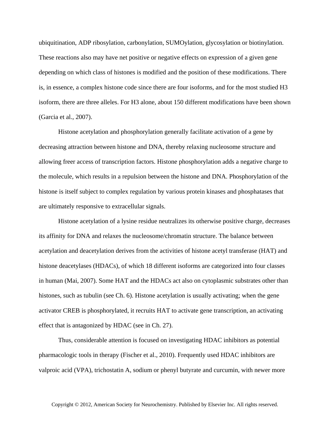ubiquitination, ADP ribosylation, carbonylation, SUMOylation, glycosylation or biotinylation. These reactions also may have net positive or negative effects on expression of a given gene depending on which class of histones is modified and the position of these modifications. There is, in essence, a complex histone code since there are four isoforms, and for the most studied H3 isoform, there are three alleles. For H3 alone, about 150 different modifications have been shown (Garcia et al., 2007).

Histone acetylation and phosphorylation generally facilitate activation of a gene by decreasing attraction between histone and DNA, thereby relaxing nucleosome structure and allowing freer access of transcription factors. Histone phosphorylation adds a negative charge to the molecule, which results in a repulsion between the histone and DNA. Phosphorylation of the histone is itself subject to complex regulation by various protein kinases and phosphatases that are ultimately responsive to extracellular signals.

Histone acetylation of a lysine residue neutralizes its otherwise positive charge, decreases its affinity for DNA and relaxes the nucleosome/chromatin structure. The balance between acetylation and deacetylation derives from the activities of histone acetyl transferase (HAT) and histone deacetylases (HDACs), of which 18 different isoforms are categorized into four classes in human (Mai, 2007). Some HAT and the HDACs act also on cytoplasmic substrates other than histones, such as tubulin (see Ch. 6). Histone acetylation is usually activating; when the gene activator CREB is phosphorylated, it recruits HAT to activate gene transcription, an activating effect that is antagonized by HDAC (see in Ch. 27).

Thus, considerable attention is focused on investigating HDAC inhibitors as potential pharmacologic tools in therapy (Fischer et al., 2010). Frequently used HDAC inhibitors are valproic acid (VPA), trichostatin A, sodium or phenyl butyrate and curcumin, with newer more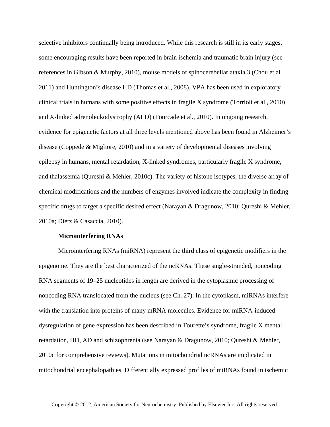selective inhibitors continually being introduced. While this research is still in its early stages, some encouraging results have been reported in brain ischemia and traumatic brain injury (see references in Gibson & Murphy, 2010), mouse models of spinocerebellar ataxia 3 (Chou et al., 2011) and Huntington's disease HD (Thomas et al., 2008). VPA has been used in exploratory clinical trials in humans with some positive effects in fragile X syndrome (Torrioli et al., 2010) and X-linked adrenoleukodystrophy (ALD) (Fourcade et al., 2010). In ongoing research, evidence for epigenetic factors at all three levels mentioned above has been found in Alzheimer's disease (Coppede & Migliore, 2010) and in a variety of developmental diseases involving epilepsy in humans, mental retardation, X-linked syndromes, particularly fragile X syndrome, and thalassemia (Qureshi & Mehler, 2010c). The variety of histone isotypes, the diverse array of chemical modifications and the numbers of enzymes involved indicate the complexity in finding specific drugs to target a specific desired effect (Narayan & Dragunow, 2010; Qureshi & Mehler, 2010a; Dietz & Casaccia, 2010).

### **Microinterfering RNAs**

Microinterfering RNAs (miRNA) represent the third class of epigenetic modifiers in the epigenome. They are the best characterized of the ncRNAs. These single-stranded, noncoding RNA segments of 19–25 nucleotides in length are derived in the cytoplasmic processing of noncoding RNA translocated from the nucleus (see Ch. 27). In the cytoplasm, miRNAs interfere with the translation into proteins of many mRNA molecules. Evidence for miRNA-induced dysregulation of gene expression has been described in Tourette's syndrome, fragile X mental retardation, HD, AD and schizophrenia (see Narayan & Dragunow, 2010; Qureshi & Mehler, 2010c for comprehensive reviews). Mutations in mitochondrial ncRNAs are implicated in mitochondrial encephalopathies. Differentially expressed profiles of miRNAs found in ischemic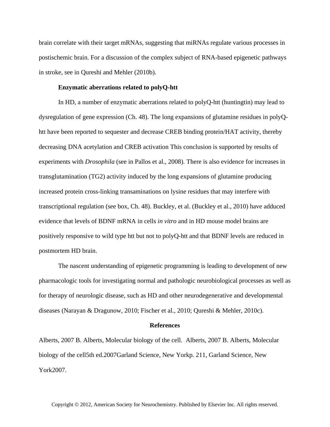brain correlate with their target mRNAs, suggesting that miRNAs regulate various processes in postischemic brain. For a discussion of the complex subject of RNA-based epigenetic pathways in stroke, see in Qureshi and Mehler (2010b).

# **Enzymatic aberrations related to polyQ-htt**

In HD, a number of enzymatic aberrations related to polyQ-htt (huntingtin) may lead to dysregulation of gene expression (Ch. 48). The long expansions of glutamine residues in polyQhtt have been reported to sequester and decrease CREB binding protein/HAT activity, thereby decreasing DNA acetylation and CREB activation This conclusion is supported by results of experiments with *Drosophila* (see in Pallos et al., 2008). There is also evidence for increases in transglutamination (TG2) activity induced by the long expansions of glutamine producing increased protein cross-linking transaminations on lysine residues that may interfere with transcriptional regulation (see box, Ch. 48). Buckley, et al. (Buckley et al., 2010) have adduced evidence that levels of BDNF mRNA in cells *in vitro* and in HD mouse model brains are positively responsive to wild type htt but not to polyQ-htt and that BDNF levels are reduced in postmortem HD brain.

The nascent understanding of epigenetic programming is leading to development of new pharmacologic tools for investigating normal and pathologic neurobiological processes as well as for therapy of neurologic disease, such as HD and other neurodegenerative and developmental diseases (Narayan & Dragunow, 2010; Fischer et al., 2010; Qureshi & Mehler, 2010c).

#### **References**

Alberts, 2007 B. Alberts, Molecular biology of the cell. Alberts, 2007 B. Alberts, Molecular biology of the cell5th ed.2007Garland Science, New Yorkp. 211, Garland Science, New York2007.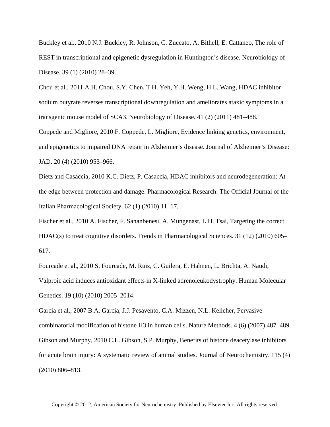Buckley et al., 2010 N.J. Buckley, R. Johnson, C. Zuccato, A. Bithell, E. Cattaneo, The role of REST in transcriptional and epigenetic dysregulation in Huntington's disease. Neurobiology of Disease. 39 (1) (2010) 28–39.

Chou et al., 2011 A.H. Chou, S.Y. Chen, T.H. Yeh, Y.H. Weng, H.L. Wang, HDAC inhibitor sodium butyrate reverses transcriptional downregulation and ameliorates ataxic symptoms in a transgenic mouse model of SCA3. Neurobiology of Disease. 41 (2) (2011) 481–488.

Coppede and Migliore, 2010 F. Coppede, L. Migliore, Evidence linking genetics, environment, and epigenetics to impaired DNA repair in Alzheimer's disease. Journal of Alzheimer's Disease: JAD. 20 (4) (2010) 953–966.

Dietz and Casaccia, 2010 K.C. Dietz, P. Casaccia, HDAC inhibitors and neurodegeneration: At the edge between protection and damage. Pharmacological Research: The Official Journal of the Italian Pharmacological Society. 62 (1) (2010) 11–17.

Fischer et al., 2010 A. Fischer, F. Sananbenesi, A. Mungenast, L.H. Tsai, Targeting the correct HDAC(s) to treat cognitive disorders. Trends in Pharmacological Sciences. 31 (12) (2010) 605– 617.

Fourcade et al., 2010 S. Fourcade, M. Ruiz, C. Guilera, E. Hahnen, L. Brichta, A. Naudi, Valproic acid induces antioxidant effects in X-linked adrenoleukodystrophy. Human Molecular Genetics. 19 (10) (2010) 2005–2014.

Garcia et al., 2007 B.A. Garcia, J.J. Pesavento, C.A. Mizzen, N.L. Kelleher, Pervasive combinatorial modification of histone H3 in human cells. Nature Methods. 4 (6) (2007) 487–489. Gibson and Murphy, 2010 C.L. Gibson, S.P. Murphy, Benefits of histone deacetylase inhibitors for acute brain injury: A systematic review of animal studies. Journal of Neurochemistry. 115 (4) (2010) 806–813.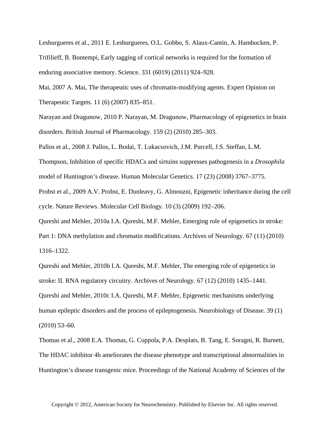Lesburgueres et al., 2011 E. Lesburgueres, O.L. Gobbo, S. Alaux-Cantin, A. Hambucken, P. Trifilieff, B. Bontempi, Early tagging of cortical networks is required for the formation of enduring associative memory. Science. 331 (6019) (2011) 924–928.

Mai, 2007 A. Mai, The therapeutic uses of chromatin-modifying agents. Expert Opinion on Therapeutic Targets. 11 (6) (2007) 835–851.

Narayan and Dragunow, 2010 P. Narayan, M. Dragunow, Pharmacology of epigenetics in brain disorders. British Journal of Pharmacology. 159 (2) (2010) 285–303.

Pallos et al., 2008 J. Pallos, L. Bodai, T. Lukacsovich, J.M. Purcell, J.S. Steffan, L.M.

Thompson, Inhibition of specific HDACs and sirtuins suppresses pathogenesis in a *Drosophila* model of Huntington's disease. Human Molecular Genetics. 17 (23) (2008) 3767–3775.

Probst et al., 2009 A.V. Probst, E. Dunleavy, G. Almouzni, Epigenetic inheritance during the cell cycle. Nature Reviews. Molecular Cell Biology. 10 (3) (2009) 192–206.

Qureshi and Mehler, 2010a I.A. Qureshi, M.F. Mehler, Emerging role of epigenetics in stroke:

Part 1: DNA methylation and chromatin modifications. Archives of Neurology. 67 (11) (2010) 1316–1322.

Qureshi and Mehler, 2010b I.A. Qureshi, M.F. Mehler, The emerging role of epigenetics in stroke: II. RNA regulatory circuitry. Archives of Neurology. 67 (12) (2010) 1435–1441. Qureshi and Mehler, 2010c I.A. Qureshi, M.F. Mehler, Epigenetic mechanisms underlying human epileptic disorders and the process of epileptogenesis. Neurobiology of Disease. 39 (1) (2010) 53–60.

Thomas et al., 2008 E.A. Thomas, G. Coppola, P.A. Desplats, B. Tang, E. Soragni, R. Burnett, The HDAC inhibitor 4b ameliorates the disease phenotype and transcriptional abnormalities in Huntington's disease transgenic mice. Proceedings of the National Academy of Sciences of the